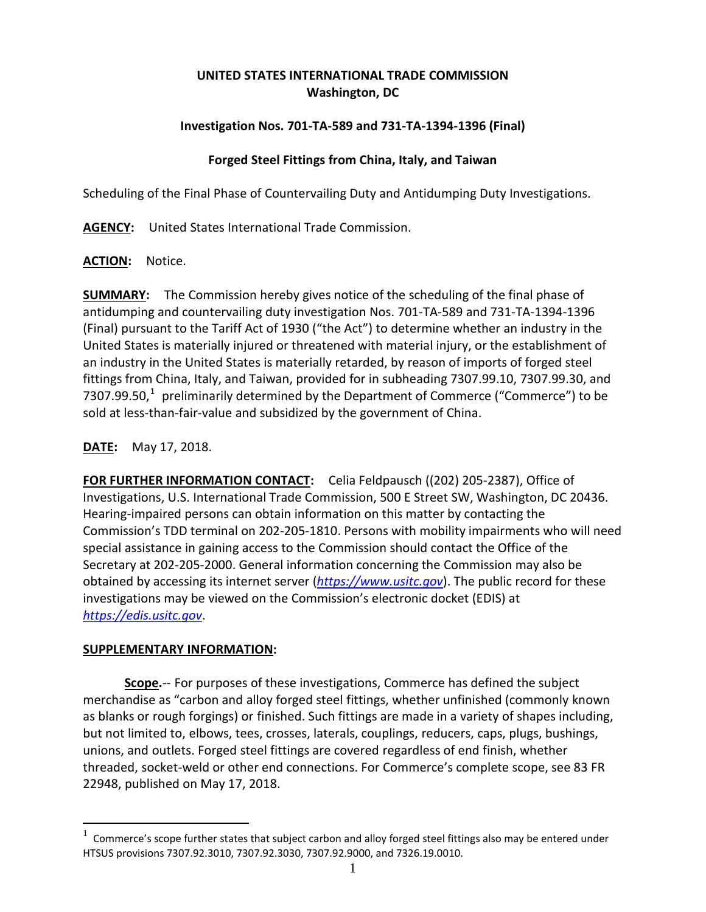# **UNITED STATES INTERNATIONAL TRADE COMMISSION Washington, DC**

## **Investigation Nos. 701-TA-589 and 731-TA-1394-1396 (Final)**

#### **Forged Steel Fittings from China, Italy, and Taiwan**

Scheduling of the Final Phase of Countervailing Duty and Antidumping Duty Investigations.

**AGENCY:** United States International Trade Commission.

### **ACTION:** Notice.

**SUMMARY:** The Commission hereby gives notice of the scheduling of the final phase of antidumping and countervailing duty investigation Nos. 701-TA-589 and 731-TA-1394-1396 (Final) pursuant to the Tariff Act of 1930 ("the Act") to determine whether an industry in the United States is materially injured or threatened with material injury, or the establishment of an industry in the United States is materially retarded, by reason of imports of forged steel fittings from China, Italy, and Taiwan, provided for in subheading 7307.99.10, 7307.99.30, and 7307.99.50, $1$  preliminarily determined by the Department of Commerce ("Commerce") to be sold at less-than-fair-value and subsidized by the government of China.

**DATE:** May 17, 2018.

**FOR FURTHER INFORMATION CONTACT:** Celia Feldpausch ((202) 205-2387), Office of Investigations, U.S. International Trade Commission, 500 E Street SW, Washington, DC 20436. Hearing-impaired persons can obtain information on this matter by contacting the Commission's TDD terminal on 202-205-1810. Persons with mobility impairments who will need special assistance in gaining access to the Commission should contact the Office of the Secretary at 202-205-2000. General information concerning the Commission may also be obtained by accessing its internet server (*[https://www.usitc.gov](https://www.usitc.gov/)*). The public record for these investigations may be viewed on the Commission's electronic docket (EDIS) at *[https://edis.usitc.gov](https://edis.usitc.gov/)*.

#### **SUPPLEMENTARY INFORMATION:**

**Scope.**-- For purposes of these investigations, Commerce has defined the subject merchandise as "carbon and alloy forged steel fittings, whether unfinished (commonly known as blanks or rough forgings) or finished. Such fittings are made in a variety of shapes including, but not limited to, elbows, tees, crosses, laterals, couplings, reducers, caps, plugs, bushings, unions, and outlets. Forged steel fittings are covered regardless of end finish, whether threaded, socket-weld or other end connections. For Commerce's complete scope, see 83 FR 22948, published on May 17, 2018.

<span id="page-0-0"></span> <sup>1</sup> Commerce's scope further states that subject carbon and alloy forged steel fittings also may be entered under HTSUS provisions 7307.92.3010, 7307.92.3030, 7307.92.9000, and 7326.19.0010.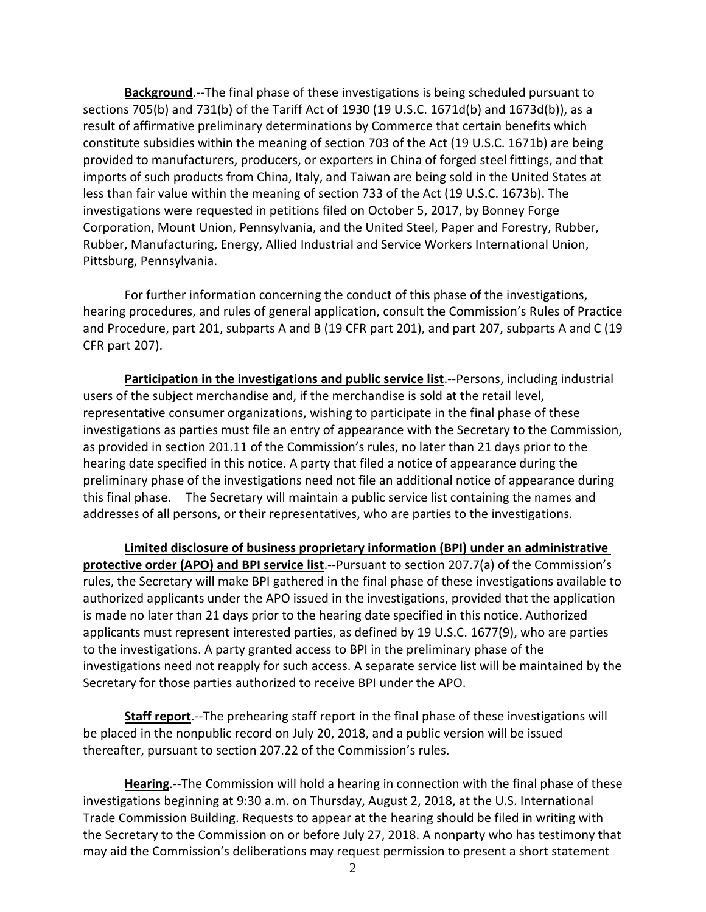**Background**.--The final phase of these investigations is being scheduled pursuant to sections 705(b) and 731(b) of the Tariff Act of 1930 (19 U.S.C. 1671d(b) and 1673d(b)), as a result of affirmative preliminary determinations by Commerce that certain benefits which constitute subsidies within the meaning of section 703 of the Act (19 U.S.C. 1671b) are being provided to manufacturers, producers, or exporters in China of forged steel fittings, and that imports of such products from China, Italy, and Taiwan are being sold in the United States at less than fair value within the meaning of section 733 of the Act (19 U.S.C. 1673b). The investigations were requested in petitions filed on October 5, 2017, by Bonney Forge Corporation, Mount Union, Pennsylvania, and the United Steel, Paper and Forestry, Rubber, Rubber, Manufacturing, Energy, Allied Industrial and Service Workers International Union, Pittsburg, Pennsylvania.

For further information concerning the conduct of this phase of the investigations, hearing procedures, and rules of general application, consult the Commission's Rules of Practice and Procedure, part 201, subparts A and B (19 CFR part 201), and part 207, subparts A and C (19 CFR part 207).

**Participation in the investigations and public service list.**--Persons, including industrial users of the subject merchandise and, if the merchandise is sold at the retail level, representative consumer organizations, wishing to participate in the final phase of these investigations as parties must file an entry of appearance with the Secretary to the Commission, as provided in section 201.11 of the Commission's rules, no later than 21 days prior to the hearing date specified in this notice. A party that filed a notice of appearance during the preliminary phase of the investigations need not file an additional notice of appearance during this final phase. The Secretary will maintain a public service list containing the names and addresses of all persons, or their representatives, who are parties to the investigations.

**Limited disclosure of business proprietary information (BPI) under an administrative protective order (APO) and BPI service list**.--Pursuant to section 207.7(a) of the Commission's rules, the Secretary will make BPI gathered in the final phase of these investigations available to authorized applicants under the APO issued in the investigations, provided that the application is made no later than 21 days prior to the hearing date specified in this notice. Authorized applicants must represent interested parties, as defined by 19 U.S.C. 1677(9), who are parties to the investigations. A party granted access to BPI in the preliminary phase of the investigations need not reapply for such access. A separate service list will be maintained by the Secretary for those parties authorized to receive BPI under the APO.

**Staff report**.--The prehearing staff report in the final phase of these investigations will be placed in the nonpublic record on July 20, 2018, and a public version will be issued thereafter, pursuant to section 207.22 of the Commission's rules.

**Hearing**.--The Commission will hold a hearing in connection with the final phase of these investigations beginning at 9:30 a.m. on Thursday, August 2, 2018, at the U.S. International Trade Commission Building. Requests to appear at the hearing should be filed in writing with the Secretary to the Commission on or before July 27, 2018. A nonparty who has testimony that may aid the Commission's deliberations may request permission to present a short statement